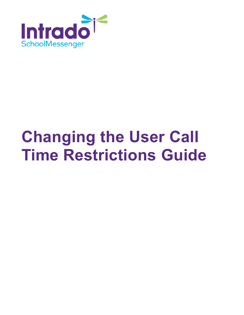

# **Changing the User Call Time Restrictions Guide**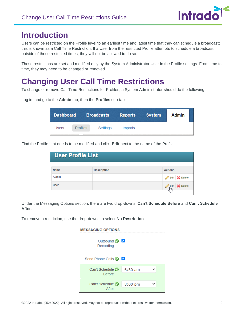Log in, and go to the **Admin** tab, then the **Profiles** sub-tab.



## **Introduction**

Users can be restricted on the Profile level to an earliest time and latest time that they can schedule a broadcast; this is known as a Call Time Restriction. If a User from the restricted Profile attempts to schedule a broadcast outside of those restricted times, they will not be allowed to do so.

These restrictions are set and modified only by the System Administrator User in the Profile settings. From time to time, they may need to be changed or removed.

# **Changing User Call Time Restrictions**

To change or remove Call Time Restrictions for Profiles, a System Administrator should do the following:

**Dashboard Broadcasts Admin Reports System Users** Profiles Settings Imports

Find the Profile that needs to be modified and click **Edit** next to the name of the Profile.

| <b>User Profile List</b> |                    |                 |
|--------------------------|--------------------|-----------------|
|                          |                    |                 |
| <b>Name</b>              | <b>Description</b> | <b>Actions</b>  |
| Admin                    |                    | Edit X Delete   |
| <b>User</b>              |                    | Edit   X Delete |
|                          |                    |                 |

Under the Messaging Options section, there are two drop-downs, **Can't Schedule Before** and **Can't Schedule After**.

To remove a restriction, use the drop-downs to select **No Restriction**.

| <b>MESSAGING OPTIONS</b>                        |         |  |  |
|-------------------------------------------------|---------|--|--|
| Outbound $\bigcirc$ $\blacksquare$<br>Recording |         |  |  |
| Send Phone Calls <b>C</b>                       |         |  |  |
| Can't Schedule ( 6:30 am<br><b>Before</b>       |         |  |  |
| Can't Schedule<br>After                         | 8:00 pm |  |  |